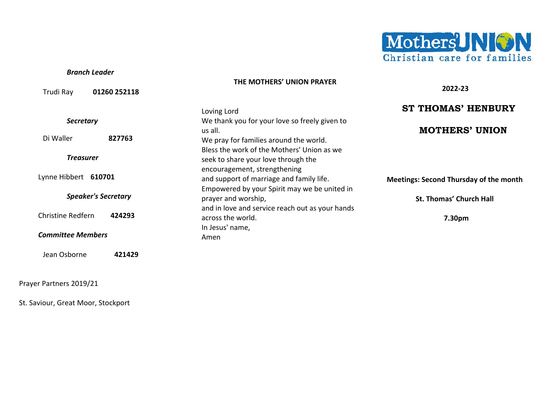

**2022-23**

#### *Branch Leader*

#### **THE MOTHERS' UNION PRAYER**

| Trudi Ray<br>01260 252118   |                                                 | 2022-23                                       |
|-----------------------------|-------------------------------------------------|-----------------------------------------------|
|                             | Loving Lord                                     | <b>ST THOMAS' HENBURY</b>                     |
| <b>Secretary</b>            | We thank you for your love so freely given to   |                                               |
|                             | us all.                                         | <b>MOTHERS' UNION</b>                         |
| Di Waller<br>827763         | We pray for families around the world.          |                                               |
|                             | Bless the work of the Mothers' Union as we      |                                               |
| <b>Treasurer</b>            | seek to share your love through the             |                                               |
|                             | encouragement, strengthening                    |                                               |
| Lynne Hibbert 610701        | and support of marriage and family life.        | <b>Meetings: Second Thursday of the month</b> |
|                             | Empowered by your Spirit may we be united in    |                                               |
| <b>Speaker's Secretary</b>  | prayer and worship,                             | <b>St. Thomas' Church Hall</b>                |
|                             | and in love and service reach out as your hands |                                               |
| Christine Redfern<br>424293 | across the world.                               | 7.30pm                                        |
|                             | In Jesus' name,                                 |                                               |
| <b>Committee Members</b>    | Amen                                            |                                               |
| Jean Osborne<br>421429      |                                                 |                                               |

Prayer Partners 2019/21

St. Saviour, Great Moor, Stockport